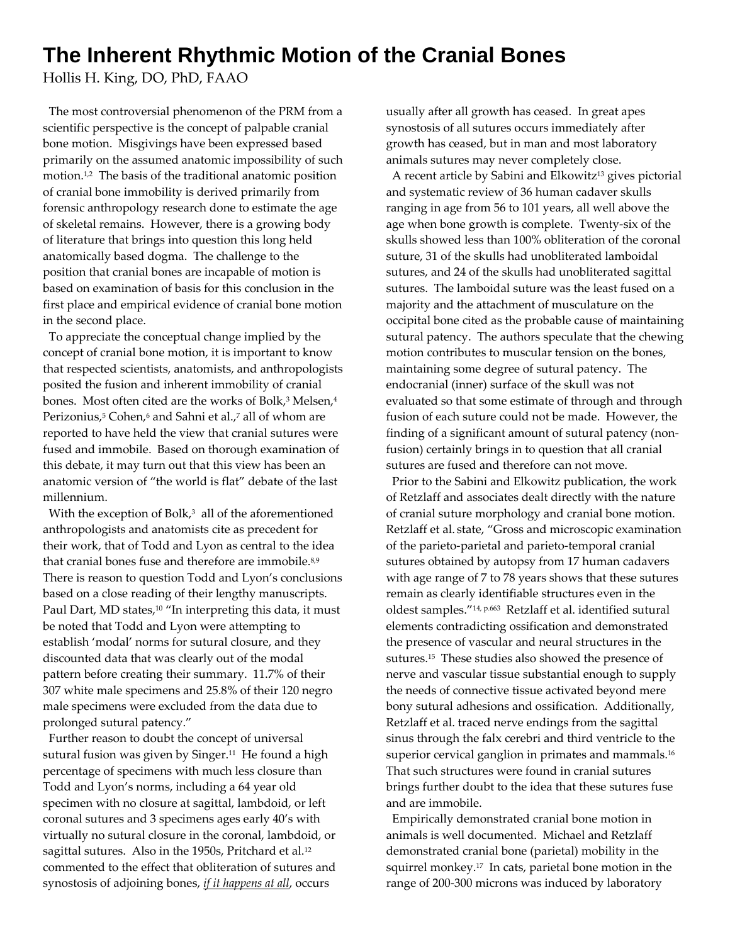## **The Inherent Rhythmic Motion of the Cranial Bones**

Hollis H. King, DO, PhD, FAAO

 The most controversial phenomenon of the PRM from a scientific perspective is the concept of palpable cranial bone motion. Misgivings have been expressed based primarily on the assumed anatomic impossibility of such motion.1,2 The basis of the traditional anatomic position of cranial bone immobility is derived primarily from forensic anthropology research done to estimate the age of skeletal remains. However, there is a growing body of literature that brings into question this long held anatomically based dogma. The challenge to the position that cranial bones are incapable of motion is based on examination of basis for this conclusion in the first place and empirical evidence of cranial bone motion in the second place.

 To appreciate the conceptual change implied by the concept of cranial bone motion, it is important to know that respected scientists, anatomists, and anthropologists posited the fusion and inherent immobility of cranial bones. Most often cited are the works of Bolk,<sup>3</sup> Melsen,<sup>4</sup> Perizonius,<sup>5</sup> Cohen,<sup>6</sup> and Sahni et al.,<sup>7</sup> all of whom are reported to have held the view that cranial sutures were fused and immobile. Based on thorough examination of this debate, it may turn out that this view has been an anatomic version of "the world is flat" debate of the last millennium.

With the exception of Bolk, $3$  all of the aforementioned anthropologists and anatomists cite as precedent for their work, that of Todd and Lyon as central to the idea that cranial bones fuse and therefore are immobile.<sup>8,9</sup> There is reason to question Todd and Lyon's conclusions based on a close reading of their lengthy manuscripts. Paul Dart, MD states,<sup>10</sup> "In interpreting this data, it must be noted that Todd and Lyon were attempting to establish 'modal' norms for sutural closure, and they discounted data that was clearly out of the modal pattern before creating their summary. 11.7% of their 307 white male specimens and 25.8% of their 120 negro male specimens were excluded from the data due to prolonged sutural patency."

 Further reason to doubt the concept of universal sutural fusion was given by Singer.<sup>11</sup> He found a high percentage of specimens with much less closure than Todd and Lyon's norms, including a 64 year old specimen with no closure at sagittal, lambdoid, or left coronal sutures and 3 specimens ages early 40's with virtually no sutural closure in the coronal, lambdoid, or sagittal sutures. Also in the 1950s, Pritchard et al.12 commented to the effect that obliteration of sutures and synostosis of adjoining bones, *if it happens at all*, occurs

usually after all growth has ceased. In great apes synostosis of all sutures occurs immediately after growth has ceased, but in man and most laboratory animals sutures may never completely close.

A recent article by Sabini and Elkowitz<sup>13</sup> gives pictorial and systematic review of 36 human cadaver skulls ranging in age from 56 to 101 years, all well above the age when bone growth is complete. Twenty‐six of the skulls showed less than 100% obliteration of the coronal suture, 31 of the skulls had unobliterated lamboidal sutures, and 24 of the skulls had unobliterated sagittal sutures. The lamboidal suture was the least fused on a majority and the attachment of musculature on the occipital bone cited as the probable cause of maintaining sutural patency. The authors speculate that the chewing motion contributes to muscular tension on the bones, maintaining some degree of sutural patency. The endocranial (inner) surface of the skull was not evaluated so that some estimate of through and through fusion of each suture could not be made. However, the finding of a significant amount of sutural patency (non‐ fusion) certainly brings in to question that all cranial sutures are fused and therefore can not move.

 Prior to the Sabini and Elkowitz publication, the work of Retzlaff and associates dealt directly with the nature of cranial suture morphology and cranial bone motion. Retzlaff et al. state, "Gross and microscopic examination of the parieto‐parietal and parieto‐temporal cranial sutures obtained by autopsy from 17 human cadavers with age range of 7 to 78 years shows that these sutures remain as clearly identifiable structures even in the oldest samples."14, p.663 Retzlaff et al. identified sutural elements contradicting ossification and demonstrated the presence of vascular and neural structures in the sutures.15 These studies also showed the presence of nerve and vascular tissue substantial enough to supply the needs of connective tissue activated beyond mere bony sutural adhesions and ossification. Additionally, Retzlaff et al. traced nerve endings from the sagittal sinus through the falx cerebri and third ventricle to the superior cervical ganglion in primates and mammals.<sup>16</sup> That such structures were found in cranial sutures brings further doubt to the idea that these sutures fuse and are immobile.

 Empirically demonstrated cranial bone motion in animals is well documented. Michael and Retzlaff demonstrated cranial bone (parietal) mobility in the squirrel monkey.<sup>17</sup> In cats, parietal bone motion in the range of 200‐300 microns was induced by laboratory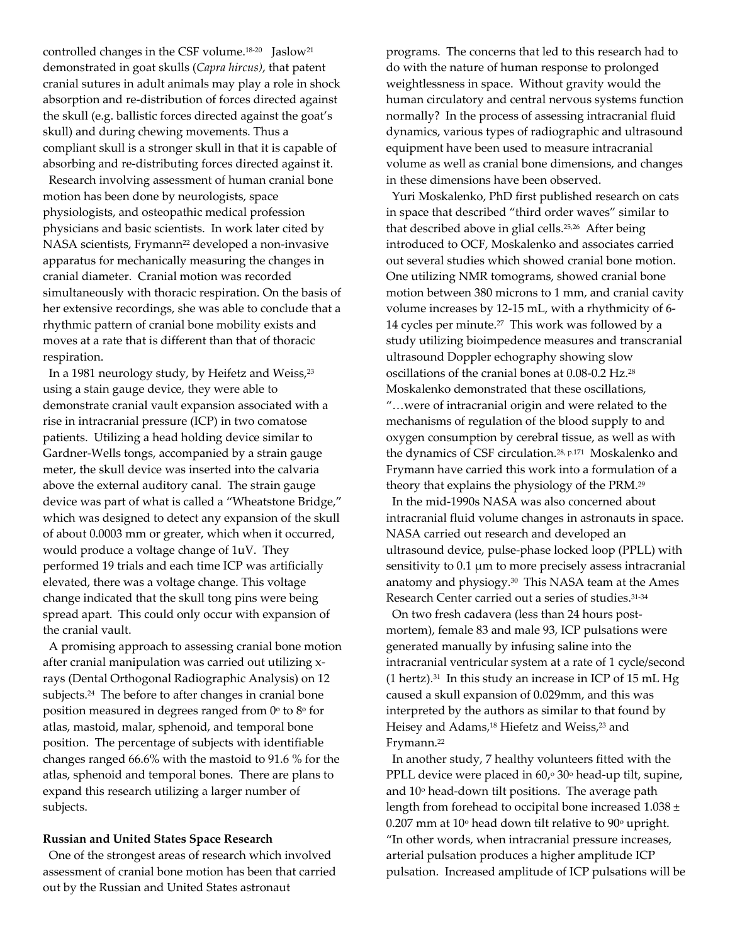controlled changes in the CSF volume.<sup>18-20</sup> Jaslow<sup>21</sup> demonstrated in goat skulls (*Capra hircus)*, that patent cranial sutures in adult animals may play a role in shock absorption and re‐distribution of forces directed against the skull (e.g. ballistic forces directed against the goat's skull) and during chewing movements. Thus a compliant skull is a stronger skull in that it is capable of absorbing and re‐distributing forces directed against it.

 Research involving assessment of human cranial bone motion has been done by neurologists, space physiologists, and osteopathic medical profession physicians and basic scientists. In work later cited by NASA scientists, Frymann<sup>22</sup> developed a non-invasive apparatus for mechanically measuring the changes in cranial diameter. Cranial motion was recorded simultaneously with thoracic respiration. On the basis of her extensive recordings, she was able to conclude that a rhythmic pattern of cranial bone mobility exists and moves at a rate that is different than that of thoracic respiration.

In a 1981 neurology study, by Heifetz and Weiss,<sup>23</sup> using a stain gauge device, they were able to demonstrate cranial vault expansion associated with a rise in intracranial pressure (ICP) in two comatose patients. Utilizing a head holding device similar to Gardner‐Wells tongs, accompanied by a strain gauge meter, the skull device was inserted into the calvaria above the external auditory canal. The strain gauge device was part of what is called a "Wheatstone Bridge," which was designed to detect any expansion of the skull of about 0.0003 mm or greater, which when it occurred, would produce a voltage change of 1uV. They performed 19 trials and each time ICP was artificially elevated, there was a voltage change. This voltage change indicated that the skull tong pins were being spread apart. This could only occur with expansion of the cranial vault.

 A promising approach to assessing cranial bone motion after cranial manipulation was carried out utilizing x‐ rays (Dental Orthogonal Radiographic Analysis) on 12 subjects.<sup>24</sup> The before to after changes in cranial bone position measured in degrees ranged from  $0^\circ$  to  $8^\circ$  for atlas, mastoid, malar, sphenoid, and temporal bone position. The percentage of subjects with identifiable changes ranged 66.6% with the mastoid to 91.6 % for the atlas, sphenoid and temporal bones. There are plans to expand this research utilizing a larger number of subjects.

## **Russian and United States Space Research**

 One of the strongest areas of research which involved assessment of cranial bone motion has been that carried out by the Russian and United States astronaut

programs. The concerns that led to this research had to do with the nature of human response to prolonged weightlessness in space. Without gravity would the human circulatory and central nervous systems function normally? In the process of assessing intracranial fluid dynamics, various types of radiographic and ultrasound equipment have been used to measure intracranial volume as well as cranial bone dimensions, and changes in these dimensions have been observed.

 Yuri Moskalenko, PhD first published research on cats in space that described "third order waves" similar to that described above in glial cells.25,26 After being introduced to OCF, Moskalenko and associates carried out several studies which showed cranial bone motion. One utilizing NMR tomograms, showed cranial bone motion between 380 microns to 1 mm, and cranial cavity volume increases by 12‐15 mL, with a rhythmicity of 6‐ 14 cycles per minute.27 This work was followed by a study utilizing bioimpedence measures and transcranial ultrasound Doppler echography showing slow oscillations of the cranial bones at 0.08‐0.2 Hz.28 Moskalenko demonstrated that these oscillations, "…were of intracranial origin and were related to the mechanisms of regulation of the blood supply to and oxygen consumption by cerebral tissue, as well as with the dynamics of CSF circulation.28, p.171 Moskalenko and Frymann have carried this work into a formulation of a theory that explains the physiology of the PRM.29

 In the mid‐1990s NASA was also concerned about intracranial fluid volume changes in astronauts in space. NASA carried out research and developed an ultrasound device, pulse‐phase locked loop (PPLL) with sensitivity to 0.1 μm to more precisely assess intracranial anatomy and physiogy.30 This NASA team at the Ames Research Center carried out a series of studies.<sup>31-34</sup>

 On two fresh cadavera (less than 24 hours post‐ mortem), female 83 and male 93, ICP pulsations were generated manually by infusing saline into the intracranial ventricular system at a rate of 1 cycle/second  $(1 \text{ hertz}).$ <sup>31</sup> In this study an increase in ICP of 15 mL Hg caused a skull expansion of 0.029mm, and this was interpreted by the authors as similar to that found by Heisey and Adams,<sup>18</sup> Hiefetz and Weiss,<sup>23</sup> and Frymann.<sup>22</sup>

 In another study, 7 healthy volunteers fitted with the PPLL device were placed in  $60$ , $\degree$  30 $\degree$  head-up tilt, supine, and  $10^{\circ}$  head-down tilt positions. The average path length from forehead to occipital bone increased 1.038 ±  $0.207$  mm at  $10^{\circ}$  head down tilt relative to  $90^{\circ}$  upright. "In other words, when intracranial pressure increases, arterial pulsation produces a higher amplitude ICP pulsation. Increased amplitude of ICP pulsations will be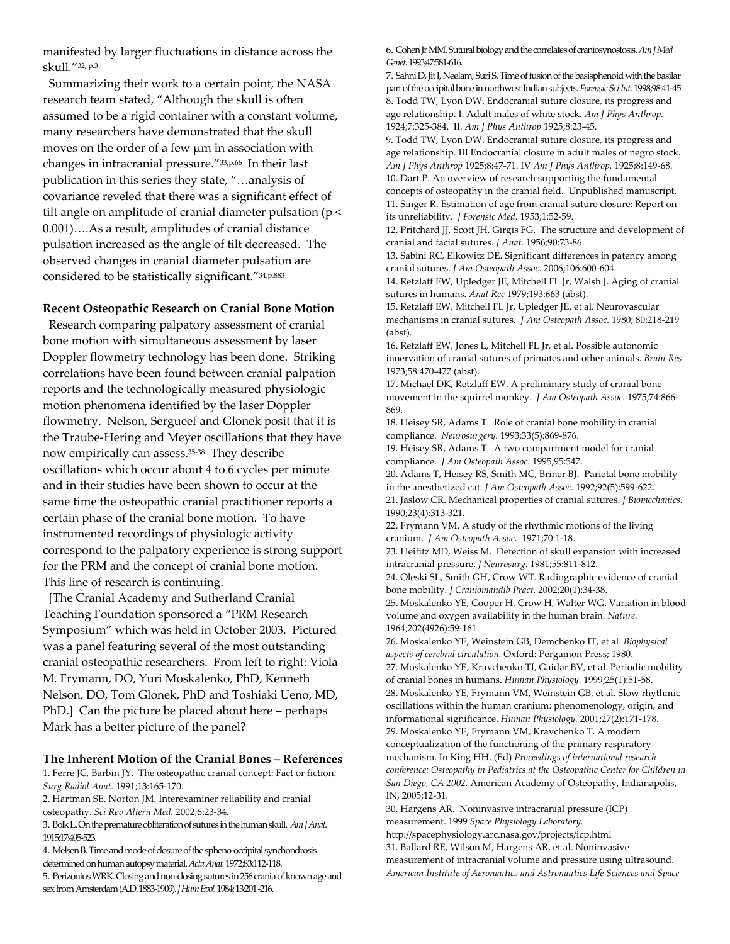manifested by larger fluctuations in distance across the skull."32, p.3

 Summarizing their work to a certain point, the NASA research team stated, "Although the skull is often assumed to be a rigid container with a constant volume, many researchers have demonstrated that the skull moves on the order of a few μm in association with changes in intracranial pressure."33,p.66 In their last publication in this series they state, "…analysis of covariance reveled that there was a significant effect of tilt angle on amplitude of cranial diameter pulsation (p < 0.001)….As a result, amplitudes of cranial distance pulsation increased as the angle of tilt decreased. The observed changes in cranial diameter pulsation are considered to be statistically significant."34,p.883

## **Recent Osteopathic Research on Cranial Bone Motion**

 Research comparing palpatory assessment of cranial bone motion with simultaneous assessment by laser Doppler flowmetry technology has been done. Striking correlations have been found between cranial palpation reports and the technologically measured physiologic motion phenomena identified by the laser Doppler flowmetry. Nelson, Sergueef and Glonek posit that it is the Traube‐Hering and Meyer oscillations that they have now empirically can assess.35‐<sup>38</sup> They describe oscillations which occur about 4 to 6 cycles per minute and in their studies have been shown to occur at the same time the osteopathic cranial practitioner reports a certain phase of the cranial bone motion. To have instrumented recordings of physiologic activity correspond to the palpatory experience is strong support for the PRM and the concept of cranial bone motion. This line of research is continuing.

 [The Cranial Academy and Sutherland Cranial Teaching Foundation sponsored a "PRM Research Symposium" which was held in October 2003. Pictured was a panel featuring several of the most outstanding cranial osteopathic researchers. From left to right: Viola M. Frymann, DO, Yuri Moskalenko, PhD, Kenneth Nelson, DO, Tom Glonek, PhD and Toshiaki Ueno, MD, PhD.] Can the picture be placed about here – perhaps Mark has a better picture of the panel?

## **The Inherent Motion of the Cranial Bones – References**

1. Ferre JC, Barbin JY. The osteopathic cranial concept: Fact or fiction. *Surg Radiol Anat.* 1991;13:165‐170.

2. Hartman SE, Norton JM. Interexaminer reliability and cranial osteopathy. *Sci Rev Altern Med.* 2002;6:23‐34.

3. BolkL.Ontheprematureobliterationofsuturesinthehumanskull. *AmJAnat*. 1915;17:495‐523.

4. Melsen B. Time and mode of closure of the spheno-occipital synchondrosis determined on human autopsy material. Acta Anat. 1972;83:112-118.

5. Perizonius WRK. Closing and non-closing sutures in 256 crania of known age and sexfromAmsterdam(A.D.1883‐1909).*JHumEvol.*1984;13:201 ‐216.

6. Cohen Jr MM. Sutural biology and the correlates of craniosynostosis. Am J Med Genet. 1993;47:581-616.

7. Sahni D, Jit I, Neelam, Suri S. Time of fusion of the basisphenoid with the basilar part of the occipital bone in northwest Indian subjects. Forensic Sci Int. 1998;98:41-45. 8. Todd TW, Lyon DW. Endocranial suture closure, its progress and age relationship. I. Adult males of white stock. *Am J Phys Anthrop.* 1924;7:325‐384. II. *Am J Phys Anthrop* 1925;8:23‐45.

9. Todd TW, Lyon DW. Endocranial suture closure, its progress and age relationship. III Endocranial closure in adult males of negro stock. *Am J Phys Anthrop* 1925;8:47‐71. IV *Am J Phys Anthrop.* 1925;8:149‐68. 10. Dart P. An overview of research supporting the fundamental concepts of osteopathy in the cranial field. Unpublished manuscript. 11. Singer R. Estimation of age from cranial suture closure: Report on its unreliability. *J Forensic Med.* 1953;1:52‐59.

12. Pritchard JJ, Scott JH, Girgis FG. The structure and development of cranial and facial sutures. *J Anat.* 1956;90:73‐86.

13. Sabini RC, Elkowitz DE. Significant differences in patency among cranial sutures. *J Am Osteopath Assoc.* 2006;106:600‐604.

14. Retzlaff EW, Upledger JE, Mitchell FL Jr, Walsh J. Aging of cranial sutures in humans. *Anat Rec* 1979;193:663 (abst).

15. Retzlaff EW, Mitchell FL Jr, Upledger JE, et al. Neurovascular mechanisms in cranial sutures. *J Am Osteopath Assoc.* 1980; 80:218‐219 (abst).

16. Retzlaff EW, Jones L, Mitchell FL Jr, et al. Possible autonomic innervation of cranial sutures of primates and other animals. *Brain Res* 1973;58:470‐477 (abst).

17. Michael DK, Retzlaff EW. A preliminary study of cranial bone movement in the squirrel monkey. *J Am Osteopath Assoc.* 1975;74:866‐ 869.

18. Heisey SR, Adams T. Role of cranial bone mobility in cranial compliance. *Neurosurgery.* 1993;33(5):869‐876.

19. Heisey SR, Adams T. A two compartment model for cranial compliance. *J Am Osteopath Assoc.* 1995;95:547.

20. Adams T, Heisey RS, Smith MC, Briner BJ. Parietal bone mobility in the anesthetized cat. *J Am Osteopath Assoc.* 1992;92(5):599‐622.

21. Jaslow CR. Mechanical properties of cranial sutures. *J Biomechanics.* 1990;23(4):313‐321.

22. Frymann VM. A study of the rhythmic motions of the living cranium. *J Am Osteopath Assoc.* 1971;70:1‐18.

23. Heifitz MD, Weiss M. Detection of skull expansion with increased intracranial pressure. *J Neurosurg.* 1981;55:811‐812.

24. Oleski SL, Smith GH, Crow WT. Radiographic evidence of cranial bone mobility. *J Craniomandib Pract.* 2002;20(1):34‐38.

25. Moskalenko YE, Cooper H, Crow H, Walter WG. Variation in blood volume and oxygen availability in the human brain. *Nature.* 1964;202(4926):59‐161.

26. Moskalenko YE, Weinstein GB, Demchenko IT, et al. *Biophysical aspects of cerebral circulation.* Oxford: Pergamon Press; 1980. 27. Moskalenko YE, Kravchenko TI, Gaidar BV, et al. Periodic mobility of cranial bones in humans. *Human Physiology.* 1999;25(1):51‐58. 28. Moskalenko YE, Frymann VM, Weinstein GB, et al. Slow rhythmic oscillations within the human cranium: phenomenology, origin, and informational significance. *Human Physiology.* 2001;27(2):171‐178. 29. Moskalenko YE, Frymann VM, Kravchenko T. A modern conceptualization of the functioning of the primary respiratory mechanism. In King HH. (Ed) *Proceedings of international research conference: Osteopathy in Pediatrics at the Osteopathic Center for Children in San Diego, CA 2002.* American Academy of Osteopathy, Indianapolis, IN, 2005;12‐31.

30. Hargens AR. Noninvasive intracranial pressure (ICP) measurement. 1999 *Space Physiology Laboratory.* http://spacephysiology.arc.nasa.gov/projects/icp.html 31. Ballard RE, Wilson M, Hargens AR, et al. Noninvasive measurement of intracranial volume and pressure using ultrasound. *American Institute of Aeronautics and Astronautics Life Sciences and Space*